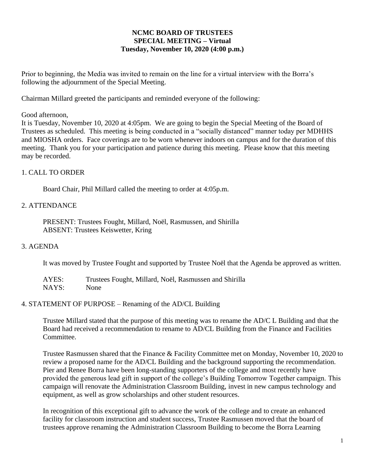### **NCMC BOARD OF TRUSTEES SPECIAL MEETING – Virtual Tuesday, November 10, 2020 (4:00 p.m.)**

Prior to beginning, the Media was invited to remain on the line for a virtual interview with the Borra's following the adjournment of the Special Meeting.

Chairman Millard greeted the participants and reminded everyone of the following:

### Good afternoon,

It is Tuesday, November 10, 2020 at 4:05pm. We are going to begin the Special Meeting of the Board of Trustees as scheduled. This meeting is being conducted in a "socially distanced" manner today per MDHHS and MIOSHA orders. Face coverings are to be worn whenever indoors on campus and for the duration of this meeting. Thank you for your participation and patience during this meeting. Please know that this meeting may be recorded.

### 1. CALL TO ORDER

Board Chair, Phil Millard called the meeting to order at 4:05p.m.

### 2. ATTENDANCE

PRESENT: Trustees Fought, Millard, Noël, Rasmussen, and Shirilla ABSENT: Trustees Keiswetter, Kring

### 3. AGENDA

It was moved by Trustee Fought and supported by Trustee Noël that the Agenda be approved as written.

| AYES: | Trustees Fought, Millard, Noël, Rasmussen and Shirilla |
|-------|--------------------------------------------------------|
| NAYS: | None                                                   |

#### 4. STATEMENT OF PURPOSE – Renaming of the AD/CL Building

Trustee Millard stated that the purpose of this meeting was to rename the AD/C L Building and that the Board had received a recommendation to rename to AD/CL Building from the Finance and Facilities Committee.

Trustee Rasmussen shared that the Finance & Facility Committee met on Monday, November 10, 2020 to review a proposed name for the AD/CL Building and the background supporting the recommendation. Pier and Renee Borra have been long-standing supporters of the college and most recently have provided the generous lead gift in support of the college's Building Tomorrow Together campaign. This campaign will renovate the Administration Classroom Building, invest in new campus technology and equipment, as well as grow scholarships and other student resources.

In recognition of this exceptional gift to advance the work of the college and to create an enhanced facility for classroom instruction and student success, Trustee Rasmussen moved that the board of trustees approve renaming the Administration Classroom Building to become the Borra Learning